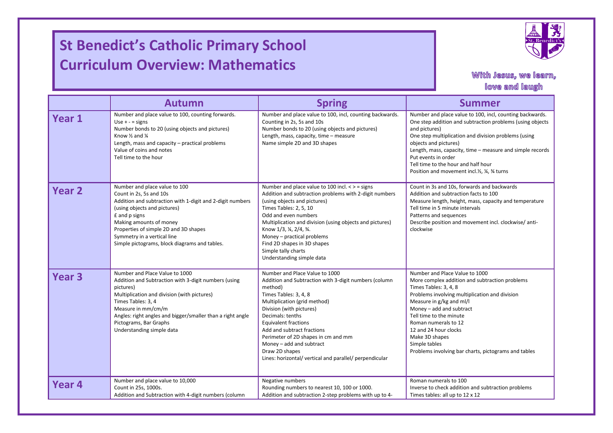## **St Benedict's Catholic Primary School Curriculum Overview: Mathematics**

I

I



## With Jesus, we learn, love and laugh

|                   |                                                                                                                                                                                                                                                                                                                            |                                                                                                                                                                                                                                                                                                                                                                                                                          | with Jesus, we learn,<br>love and laugh                                                                                                                                                                                                                                                                                                                                                              |
|-------------------|----------------------------------------------------------------------------------------------------------------------------------------------------------------------------------------------------------------------------------------------------------------------------------------------------------------------------|--------------------------------------------------------------------------------------------------------------------------------------------------------------------------------------------------------------------------------------------------------------------------------------------------------------------------------------------------------------------------------------------------------------------------|------------------------------------------------------------------------------------------------------------------------------------------------------------------------------------------------------------------------------------------------------------------------------------------------------------------------------------------------------------------------------------------------------|
|                   | <b>Autumn</b>                                                                                                                                                                                                                                                                                                              | <b>Spring</b>                                                                                                                                                                                                                                                                                                                                                                                                            | <b>Summer</b>                                                                                                                                                                                                                                                                                                                                                                                        |
| Year 1            | Number and place value to 100, counting forwards.<br>Use $+ -$ = signs<br>Number bonds to 20 (using objects and pictures)<br>Know $\frac{1}{2}$ and $\frac{1}{4}$<br>Length, mass and capacity - practical problems<br>Value of coins and notes<br>Tell time to the hour                                                   | Number and place value to 100, incl, counting backwards.<br>Counting in 2s, 5s and 10s<br>Number bonds to 20 (using objects and pictures)<br>Length, mass, capacity, time - measure<br>Name simple 2D and 3D shapes                                                                                                                                                                                                      | Number and place value to 100, incl, counting backwards.<br>One step addition and subtraction problems (using objects<br>and pictures)<br>One step multiplication and division problems (using<br>objects and pictures)<br>Length, mass, capacity, time - measure and simple records<br>Put events in order<br>Tell time to the hour and half hour<br>Position and movement incl.1/2, 1/4, 3/4 turns |
| <b>Year 2</b>     | Number and place value to 100<br>Count in 2s, 5s and 10s<br>Addition and subtraction with 1-digit and 2-digit numbers<br>(using objects and pictures)<br>£ and p signs<br>Making amounts of money<br>Properties of simple 2D and 3D shapes<br>Symmetry in a vertical line<br>Simple pictograms, block diagrams and tables. | Number and place value to 100 incl. $\lt$ > = signs<br>Addition and subtraction problems with 2-digit numbers<br>(using objects and pictures)<br>Times Tables: 2, 5, 10<br>Odd and even numbers<br>Multiplication and division (using objects and pictures)<br>Know 1/3, ¼, 2/4, ¾.<br>Money – practical problems<br>Find 2D shapes in 3D shapes<br>Simple tally charts<br>Understanding simple data                     | Count in 3s and 10s, forwards and backwards<br>Addition and subtraction facts to 100<br>Measure length, height, mass, capacity and temperature<br>Tell time in 5 minute intervals<br>Patterns and sequences<br>Describe position and movement incl. clockwise/anti-<br>clockwise                                                                                                                     |
| Year <sub>3</sub> | Number and Place Value to 1000<br>Addition and Subtraction with 3-digit numbers (using<br>pictures)<br>Multiplication and division (with pictures)<br>Times Tables: 3, 4<br>Measure in mm/cm/m<br>Angles: right angles and bigger/smaller than a right angle<br>Pictograms, Bar Graphs<br>Understanding simple data        | Number and Place Value to 1000<br>Addition and Subtraction with 3-digit numbers (column<br>method)<br>Times Tables: 3, 4, 8<br>Multiplication (grid method)<br>Division (with pictures)<br>Decimals: tenths<br><b>Equivalent fractions</b><br>Add and subtract fractions<br>Perimeter of 2D shapes in cm and mm<br>Money - add and subtract<br>Draw 2D shapes<br>Lines: horizontal/ vertical and parallel/ perpendicular | Number and Place Value to 1000<br>More complex addition and subtraction problems<br>Times Tables: 3, 4, 8<br>Problems involving multiplication and division<br>Measure in g/kg and ml/l<br>Money - add and subtract<br>Tell time to the minute<br>Roman numerals to 12<br>12 and 24 hour clocks<br>Make 3D shapes<br>Simple tables<br>Problems involving bar charts, pictograms and tables           |
| Year <sub>4</sub> | Number and place value to 10,000<br>Count in 25s, 1000s.<br>Addition and Subtraction with 4-digit numbers (column                                                                                                                                                                                                          | Negative numbers<br>Rounding numbers to nearest 10, 100 or 1000.<br>Addition and subtraction 2-step problems with up to 4-                                                                                                                                                                                                                                                                                               | Roman numerals to 100<br>Inverse to check addition and subtraction problems<br>Times tables: all up to 12 x 12                                                                                                                                                                                                                                                                                       |